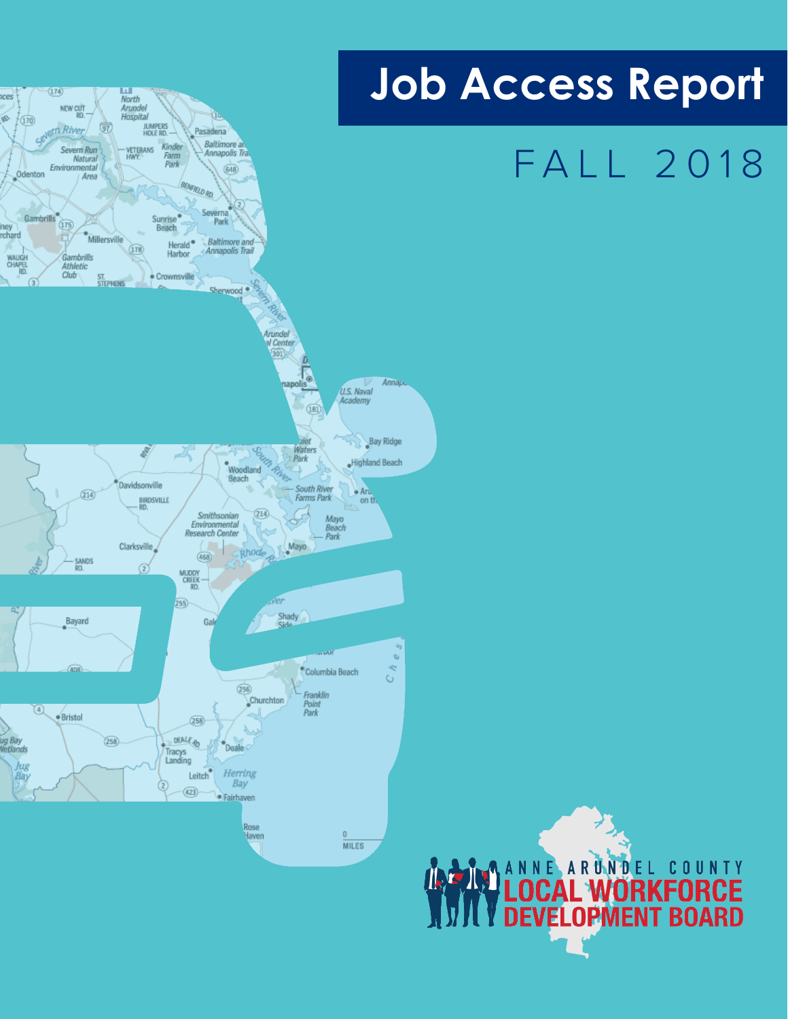

# **Job Access Report**

# FALL 2018

**AND ANNE ARUNDEL COUNTY**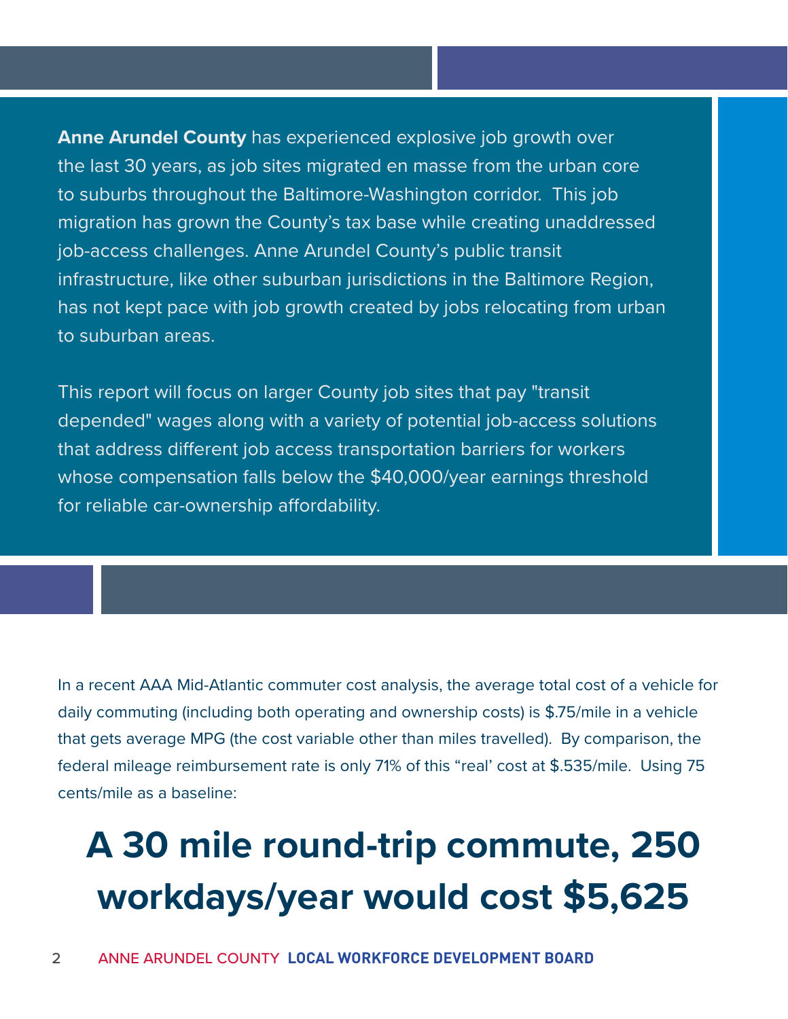**Anne Arundel County** has experienced explosive job growth over the last 30 years, as job sites migrated en masse from the urban core to suburbs throughout the Baltimore-Washington corridor. This job migration has grown the County's tax base while creating unaddressed job-access challenges. Anne Arundel County's public transit infrastructure, like other suburban jurisdictions in the Baltimore Region, has not kept pace with job growth created by jobs relocating from urban to suburban areas.

This report will focus on larger County job sites that pay "transit depended" wages along with a variety of potential job-access solutions that address different job access transportation barriers for workers whose compensation falls below the \$40,000/year earnings threshold for reliable car-ownership affordability.

In a recent AAA Mid-Atlantic commuter cost analysis, the average total cost of a vehicle for daily commuting (including both operating and ownership costs) is \$.75/mile in a vehicle that gets average MPG (the cost variable other than miles travelled). By comparison, the federal mileage reimbursement rate is only 71% of this "real' cost at \$.535/mile. Using 75 cents/mile as a baseline:

## **A 30 mile round-trip commute, 250 workdays/year would cost \$5,625**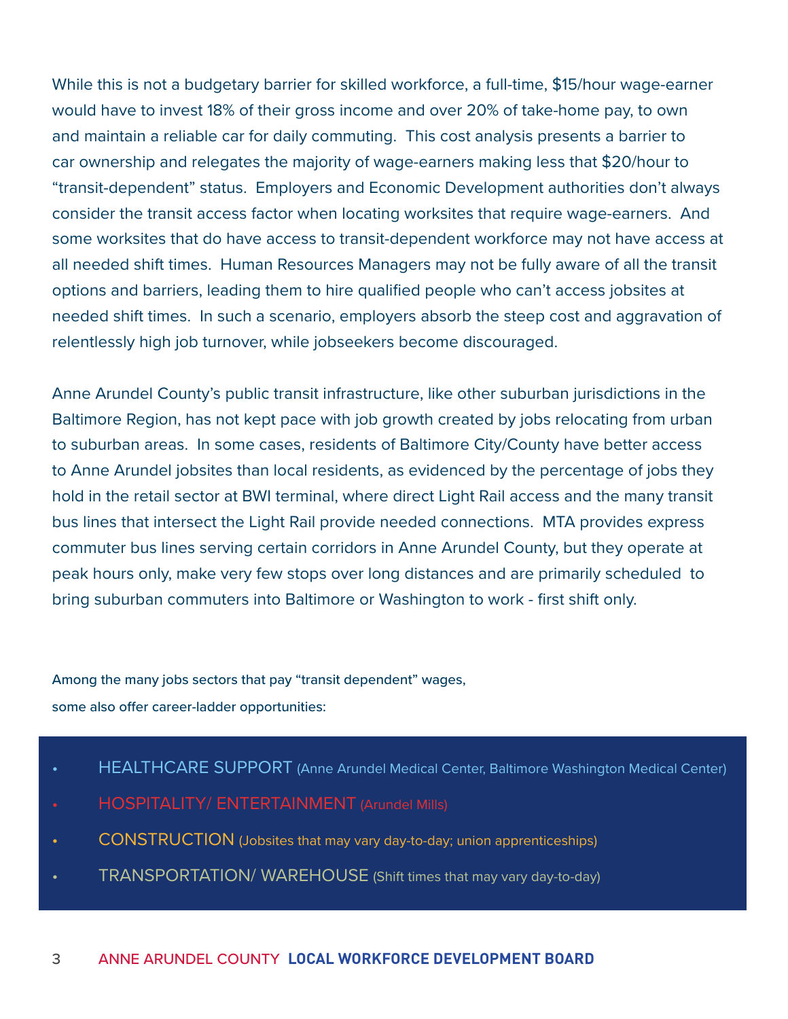While this is not a budgetary barrier for skilled workforce, a full-time, \$15/hour wage-earner would have to invest 18% of their gross income and over 20% of take-home pay, to own and maintain a reliable car for daily commuting. This cost analysis presents a barrier to car ownership and relegates the majority of wage-earners making less that \$20/hour to "transit-dependent" status. Employers and Economic Development authorities don't always consider the transit access factor when locating worksites that require wage-earners. And some worksites that do have access to transit-dependent workforce may not have access at all needed shift times. Human Resources Managers may not be fully aware of all the transit options and barriers, leading them to hire qualified people who can't access jobsites at needed shift times. In such a scenario, employers absorb the steep cost and aggravation of relentlessly high job turnover, while jobseekers become discouraged.

Anne Arundel County's public transit infrastructure, like other suburban jurisdictions in the Baltimore Region, has not kept pace with job growth created by jobs relocating from urban to suburban areas. In some cases, residents of Baltimore City/County have better access to Anne Arundel jobsites than local residents, as evidenced by the percentage of jobs they hold in the retail sector at BWI terminal, where direct Light Rail access and the many transit bus lines that intersect the Light Rail provide needed connections. MTA provides express commuter bus lines serving certain corridors in Anne Arundel County, but they operate at peak hours only, make very few stops over long distances and are primarily scheduled to bring suburban commuters into Baltimore or Washington to work - first shift only.

Among the many jobs sectors that pay "transit dependent" wages, some also offer career-ladder opportunities:

- HEALTHCARE SUPPORT (Anne Arundel Medical Center, Baltimore Washington Medical Center)
- HOSPITALITY/ ENTERTAINMENT (Arundel Mills)
- CONSTRUCTION (Jobsites that may vary day-to-day; union apprenticeships)
- TRANSPORTATION/ WAREHOUSE (Shift times that may vary day-to-day)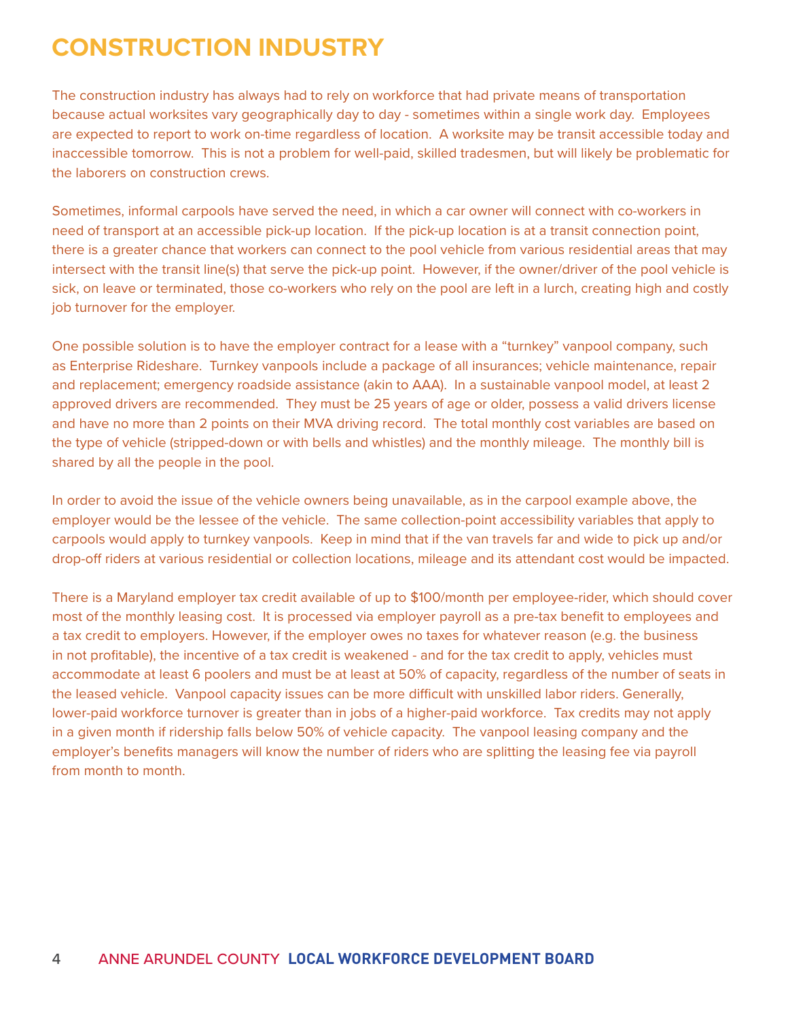## **CONSTRUCTION INDUSTRY**

The construction industry has always had to rely on workforce that had private means of transportation because actual worksites vary geographically day to day - sometimes within a single work day. Employees are expected to report to work on-time regardless of location. A worksite may be transit accessible today and inaccessible tomorrow. This is not a problem for well-paid, skilled tradesmen, but will likely be problematic for the laborers on construction crews.

Sometimes, informal carpools have served the need, in which a car owner will connect with co-workers in need of transport at an accessible pick-up location. If the pick-up location is at a transit connection point, there is a greater chance that workers can connect to the pool vehicle from various residential areas that may intersect with the transit line(s) that serve the pick-up point. However, if the owner/driver of the pool vehicle is sick, on leave or terminated, those co-workers who rely on the pool are left in a lurch, creating high and costly job turnover for the employer.

One possible solution is to have the employer contract for a lease with a "turnkey" vanpool company, such as Enterprise Rideshare. Turnkey vanpools include a package of all insurances; vehicle maintenance, repair and replacement; emergency roadside assistance (akin to AAA). In a sustainable vanpool model, at least 2 approved drivers are recommended. They must be 25 years of age or older, possess a valid drivers license and have no more than 2 points on their MVA driving record. The total monthly cost variables are based on the type of vehicle (stripped-down or with bells and whistles) and the monthly mileage. The monthly bill is shared by all the people in the pool.

In order to avoid the issue of the vehicle owners being unavailable, as in the carpool example above, the employer would be the lessee of the vehicle. The same collection-point accessibility variables that apply to carpools would apply to turnkey vanpools. Keep in mind that if the van travels far and wide to pick up and/or drop-off riders at various residential or collection locations, mileage and its attendant cost would be impacted.

There is a Maryland employer tax credit available of up to \$100/month per employee-rider, which should cover most of the monthly leasing cost. It is processed via employer payroll as a pre-tax benefit to employees and a tax credit to employers. However, if the employer owes no taxes for whatever reason (e.g. the business in not profitable), the incentive of a tax credit is weakened - and for the tax credit to apply, vehicles must accommodate at least 6 poolers and must be at least at 50% of capacity, regardless of the number of seats in the leased vehicle. Vanpool capacity issues can be more difficult with unskilled labor riders. Generally, lower-paid workforce turnover is greater than in jobs of a higher-paid workforce. Tax credits may not apply in a given month if ridership falls below 50% of vehicle capacity. The vanpool leasing company and the employer's benefits managers will know the number of riders who are splitting the leasing fee via payroll from month to month.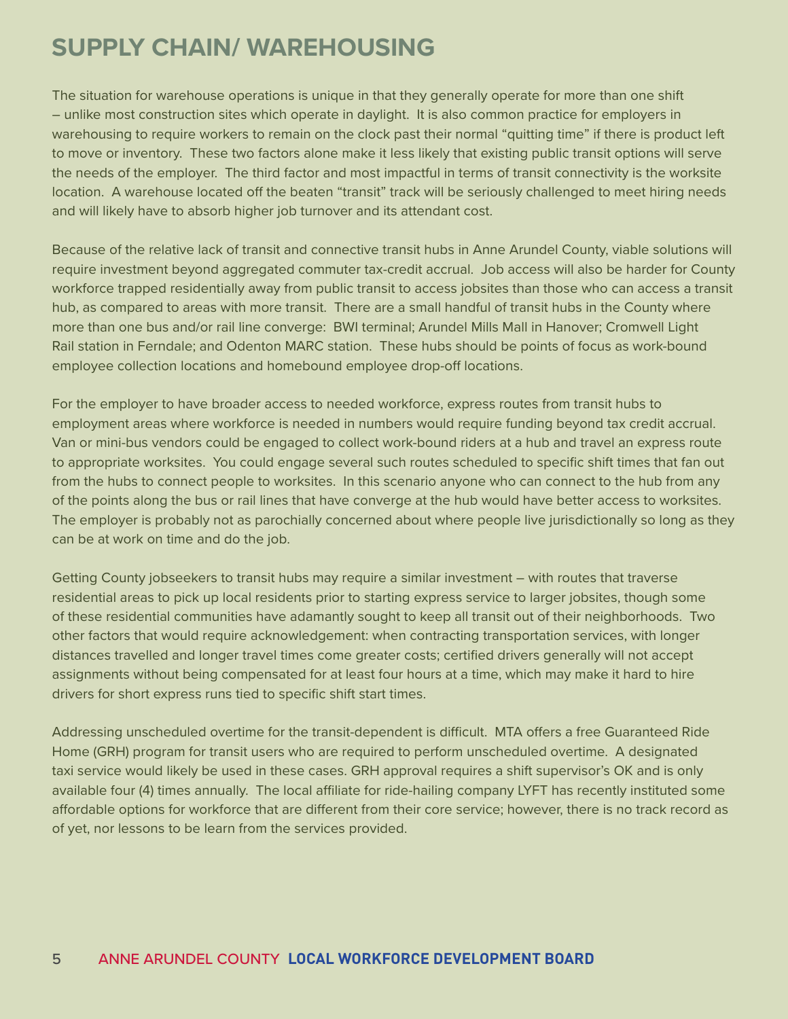### **SUPPLY CHAIN/ WAREHOUSING**

The situation for warehouse operations is unique in that they generally operate for more than one shift – unlike most construction sites which operate in daylight. It is also common practice for employers in warehousing to require workers to remain on the clock past their normal "quitting time" if there is product left to move or inventory. These two factors alone make it less likely that existing public transit options will serve the needs of the employer. The third factor and most impactful in terms of transit connectivity is the worksite location. A warehouse located off the beaten "transit" track will be seriously challenged to meet hiring needs and will likely have to absorb higher job turnover and its attendant cost.

Because of the relative lack of transit and connective transit hubs in Anne Arundel County, viable solutions will require investment beyond aggregated commuter tax-credit accrual. Job access will also be harder for County workforce trapped residentially away from public transit to access jobsites than those who can access a transit hub, as compared to areas with more transit. There are a small handful of transit hubs in the County where more than one bus and/or rail line converge: BWI terminal; Arundel Mills Mall in Hanover; Cromwell Light Rail station in Ferndale; and Odenton MARC station. These hubs should be points of focus as work-bound employee collection locations and homebound employee drop-off locations.

For the employer to have broader access to needed workforce, express routes from transit hubs to employment areas where workforce is needed in numbers would require funding beyond tax credit accrual. Van or mini-bus vendors could be engaged to collect work-bound riders at a hub and travel an express route to appropriate worksites. You could engage several such routes scheduled to specific shift times that fan out from the hubs to connect people to worksites. In this scenario anyone who can connect to the hub from any of the points along the bus or rail lines that have converge at the hub would have better access to worksites. The employer is probably not as parochially concerned about where people live jurisdictionally so long as they can be at work on time and do the job.

Getting County jobseekers to transit hubs may require a similar investment – with routes that traverse residential areas to pick up local residents prior to starting express service to larger jobsites, though some of these residential communities have adamantly sought to keep all transit out of their neighborhoods. Two other factors that would require acknowledgement: when contracting transportation services, with longer distances travelled and longer travel times come greater costs; certified drivers generally will not accept assignments without being compensated for at least four hours at a time, which may make it hard to hire drivers for short express runs tied to specific shift start times.

Addressing unscheduled overtime for the transit-dependent is difficult. MTA offers a free Guaranteed Ride Home (GRH) program for transit users who are required to perform unscheduled overtime. A designated taxi service would likely be used in these cases. GRH approval requires a shift supervisor's OK and is only available four (4) times annually. The local affiliate for ride-hailing company LYFT has recently instituted some affordable options for workforce that are different from their core service; however, there is no track record as of yet, nor lessons to be learn from the services provided.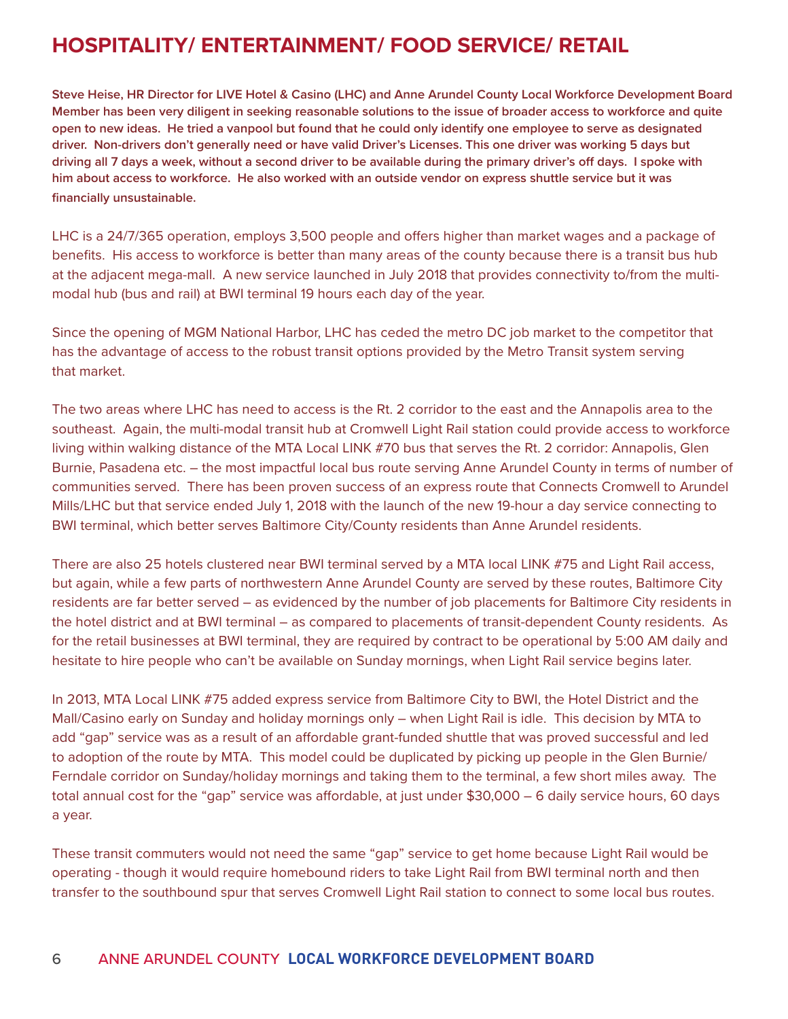### **HOSPITALITY/ ENTERTAINMENT/ FOOD SERVICE/ RETAIL**

**Steve Heise, HR Director for LIVE Hotel & Casino (LHC) and Anne Arundel County Local Workforce Development Board Member has been very diligent in seeking reasonable solutions to the issue of broader access to workforce and quite open to new ideas. He tried a vanpool but found that he could only identify one employee to serve as designated driver. Non-drivers don't generally need or have valid Driver's Licenses. This one driver was working 5 days but driving all 7 days a week, without a second driver to be available during the primary driver's off days. I spoke with him about access to workforce. He also worked with an outside vendor on express shuttle service but it was financially unsustainable.**

LHC is a 24/7/365 operation, employs 3,500 people and offers higher than market wages and a package of benefits. His access to workforce is better than many areas of the county because there is a transit bus hub at the adjacent mega-mall. A new service launched in July 2018 that provides connectivity to/from the multimodal hub (bus and rail) at BWI terminal 19 hours each day of the year.

Since the opening of MGM National Harbor, LHC has ceded the metro DC job market to the competitor that has the advantage of access to the robust transit options provided by the Metro Transit system serving that market.

The two areas where LHC has need to access is the Rt. 2 corridor to the east and the Annapolis area to the southeast. Again, the multi-modal transit hub at Cromwell Light Rail station could provide access to workforce living within walking distance of the MTA Local LINK #70 bus that serves the Rt. 2 corridor: Annapolis, Glen Burnie, Pasadena etc. – the most impactful local bus route serving Anne Arundel County in terms of number of communities served. There has been proven success of an express route that Connects Cromwell to Arundel Mills/LHC but that service ended July 1, 2018 with the launch of the new 19-hour a day service connecting to BWI terminal, which better serves Baltimore City/County residents than Anne Arundel residents.

There are also 25 hotels clustered near BWI terminal served by a MTA local LINK #75 and Light Rail access, but again, while a few parts of northwestern Anne Arundel County are served by these routes, Baltimore City residents are far better served – as evidenced by the number of job placements for Baltimore City residents in the hotel district and at BWI terminal – as compared to placements of transit-dependent County residents. As for the retail businesses at BWI terminal, they are required by contract to be operational by 5:00 AM daily and hesitate to hire people who can't be available on Sunday mornings, when Light Rail service begins later.

In 2013, MTA Local LINK #75 added express service from Baltimore City to BWI, the Hotel District and the Mall/Casino early on Sunday and holiday mornings only – when Light Rail is idle. This decision by MTA to add "gap" service was as a result of an affordable grant-funded shuttle that was proved successful and led to adoption of the route by MTA. This model could be duplicated by picking up people in the Glen Burnie/ Ferndale corridor on Sunday/holiday mornings and taking them to the terminal, a few short miles away. The total annual cost for the "gap" service was affordable, at just under \$30,000 – 6 daily service hours, 60 days a year.

These transit commuters would not need the same "gap" service to get home because Light Rail would be operating - though it would require homebound riders to take Light Rail from BWI terminal north and then transfer to the southbound spur that serves Cromwell Light Rail station to connect to some local bus routes.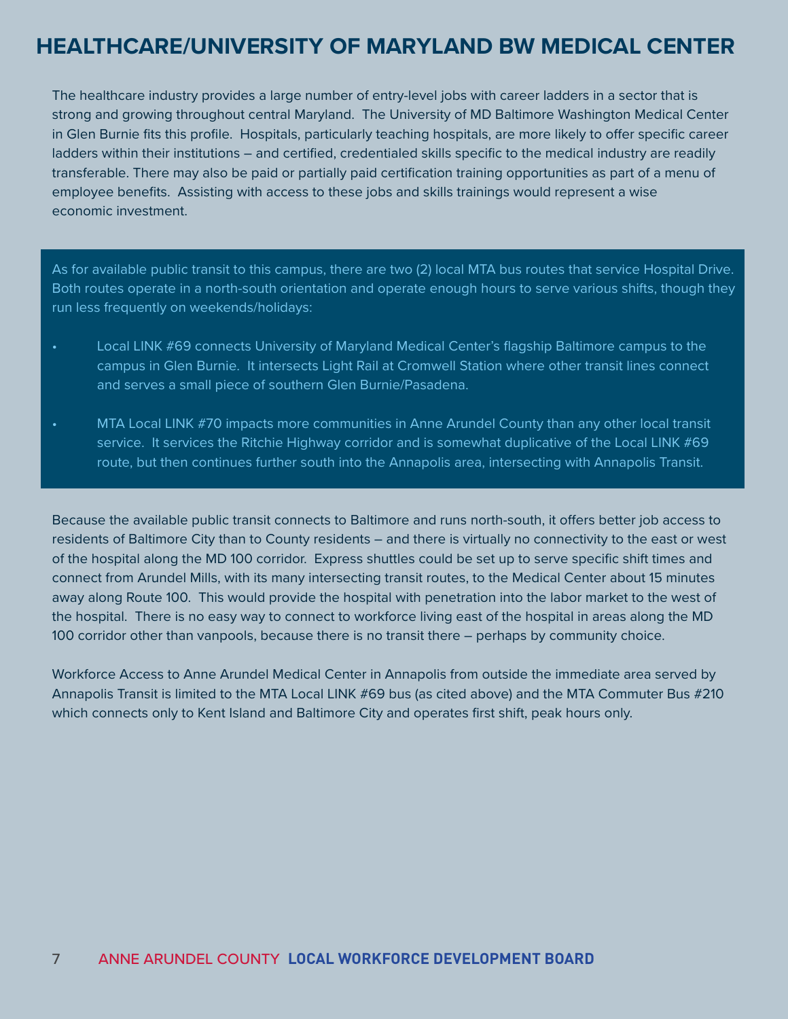### **HEALTHCARE/UNIVERSITY OF MARYLAND BW MEDICAL CENTER**

The healthcare industry provides a large number of entry-level jobs with career ladders in a sector that is strong and growing throughout central Maryland. The University of MD Baltimore Washington Medical Center in Glen Burnie fits this profile. Hospitals, particularly teaching hospitals, are more likely to offer specific career ladders within their institutions – and certified, credentialed skills specific to the medical industry are readily transferable. There may also be paid or partially paid certification training opportunities as part of a menu of employee benefits. Assisting with access to these jobs and skills trainings would represent a wise economic investment.

As for available public transit to this campus, there are two (2) local MTA bus routes that service Hospital Drive. Both routes operate in a north-south orientation and operate enough hours to serve various shifts, though they run less frequently on weekends/holidays:

- Local LINK #69 connects University of Maryland Medical Center's flagship Baltimore campus to the campus in Glen Burnie. It intersects Light Rail at Cromwell Station where other transit lines connect and serves a small piece of southern Glen Burnie/Pasadena.
- MTA Local LINK #70 impacts more communities in Anne Arundel County than any other local transit service. It services the Ritchie Highway corridor and is somewhat duplicative of the Local LINK #69 route, but then continues further south into the Annapolis area, intersecting with Annapolis Transit.

Because the available public transit connects to Baltimore and runs north-south, it offers better job access to residents of Baltimore City than to County residents – and there is virtually no connectivity to the east or west of the hospital along the MD 100 corridor. Express shuttles could be set up to serve specific shift times and connect from Arundel Mills, with its many intersecting transit routes, to the Medical Center about 15 minutes away along Route 100. This would provide the hospital with penetration into the labor market to the west of the hospital. There is no easy way to connect to workforce living east of the hospital in areas along the MD 100 corridor other than vanpools, because there is no transit there – perhaps by community choice.

Workforce Access to Anne Arundel Medical Center in Annapolis from outside the immediate area served by Annapolis Transit is limited to the MTA Local LINK #69 bus (as cited above) and the MTA Commuter Bus #210 which connects only to Kent Island and Baltimore City and operates first shift, peak hours only.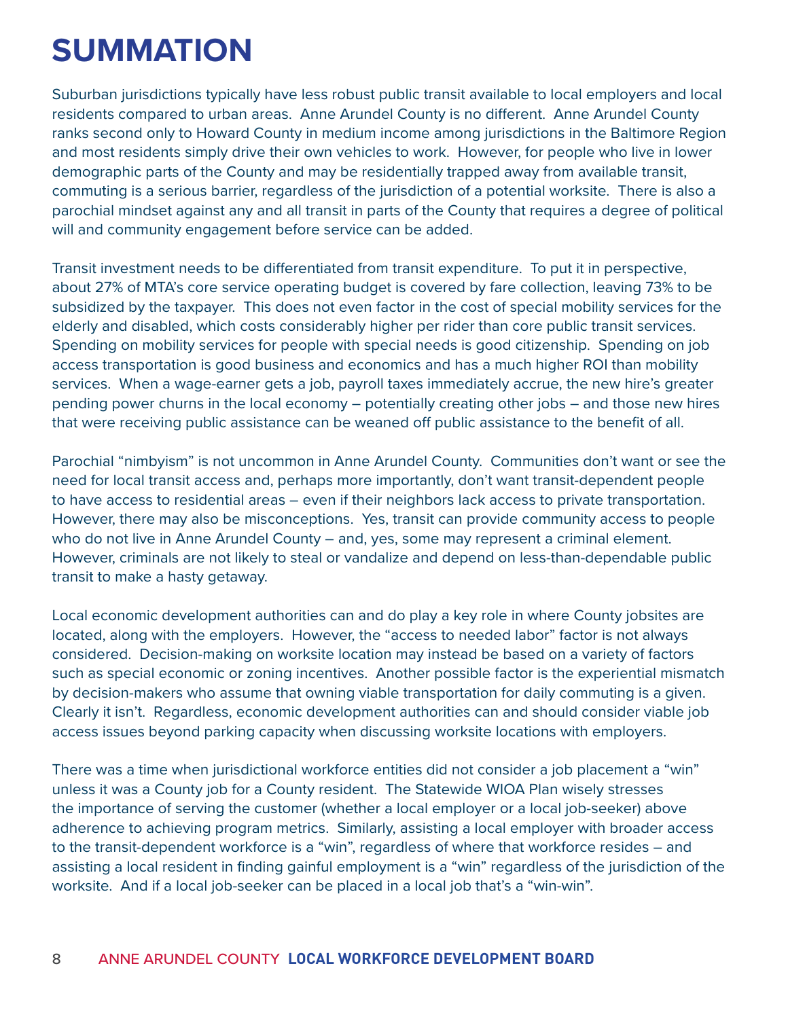## **SUMMATION**

Suburban jurisdictions typically have less robust public transit available to local employers and local residents compared to urban areas. Anne Arundel County is no different. Anne Arundel County ranks second only to Howard County in medium income among jurisdictions in the Baltimore Region and most residents simply drive their own vehicles to work. However, for people who live in lower demographic parts of the County and may be residentially trapped away from available transit, commuting is a serious barrier, regardless of the jurisdiction of a potential worksite. There is also a parochial mindset against any and all transit in parts of the County that requires a degree of political will and community engagement before service can be added.

Transit investment needs to be differentiated from transit expenditure. To put it in perspective, about 27% of MTA's core service operating budget is covered by fare collection, leaving 73% to be subsidized by the taxpayer. This does not even factor in the cost of special mobility services for the elderly and disabled, which costs considerably higher per rider than core public transit services. Spending on mobility services for people with special needs is good citizenship. Spending on job access transportation is good business and economics and has a much higher ROI than mobility services. When a wage-earner gets a job, payroll taxes immediately accrue, the new hire's greater pending power churns in the local economy – potentially creating other jobs – and those new hires that were receiving public assistance can be weaned off public assistance to the benefit of all.

Parochial "nimbyism" is not uncommon in Anne Arundel County. Communities don't want or see the need for local transit access and, perhaps more importantly, don't want transit-dependent people to have access to residential areas – even if their neighbors lack access to private transportation. However, there may also be misconceptions. Yes, transit can provide community access to people who do not live in Anne Arundel County – and, yes, some may represent a criminal element. However, criminals are not likely to steal or vandalize and depend on less-than-dependable public transit to make a hasty getaway.

Local economic development authorities can and do play a key role in where County jobsites are located, along with the employers. However, the "access to needed labor" factor is not always considered. Decision-making on worksite location may instead be based on a variety of factors such as special economic or zoning incentives. Another possible factor is the experiential mismatch by decision-makers who assume that owning viable transportation for daily commuting is a given. Clearly it isn't. Regardless, economic development authorities can and should consider viable job access issues beyond parking capacity when discussing worksite locations with employers.

There was a time when jurisdictional workforce entities did not consider a job placement a "win" unless it was a County job for a County resident. The Statewide WIOA Plan wisely stresses the importance of serving the customer (whether a local employer or a local job-seeker) above adherence to achieving program metrics. Similarly, assisting a local employer with broader access to the transit-dependent workforce is a "win", regardless of where that workforce resides – and assisting a local resident in finding gainful employment is a "win" regardless of the jurisdiction of the worksite. And if a local job-seeker can be placed in a local job that's a "win-win".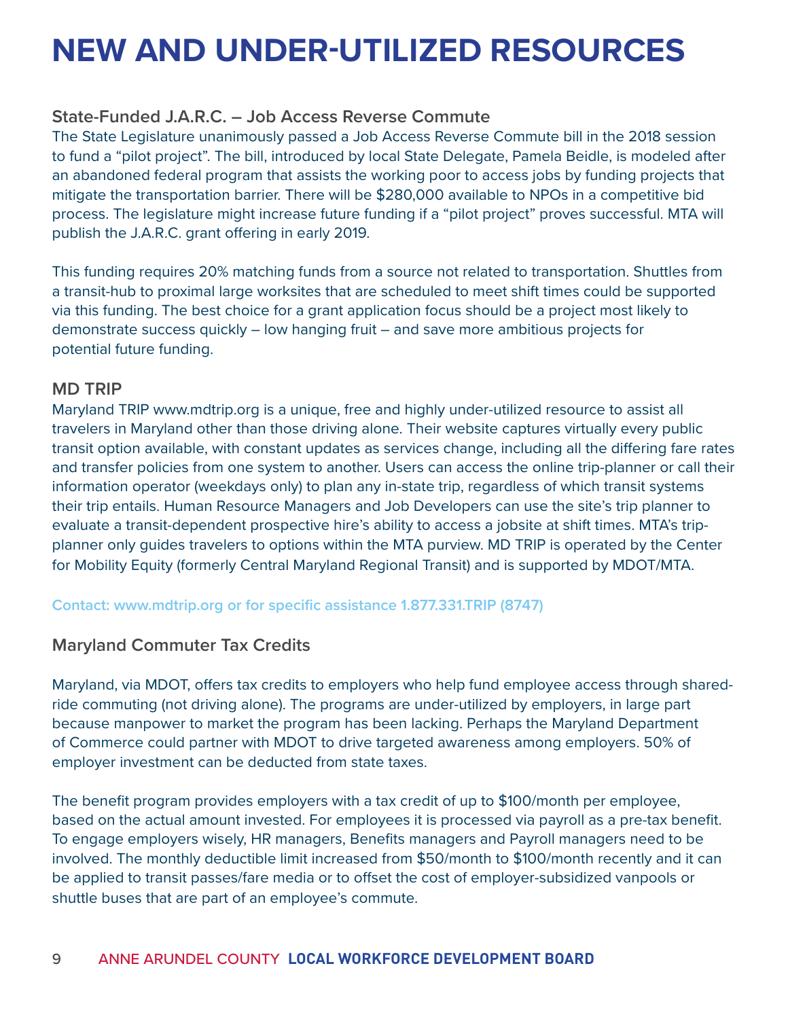## **NEW AND UNDER-UTILIZED RESOURCES**

#### **State-Funded J.A.R.C. – Job Access Reverse Commute**

The State Legislature unanimously passed a Job Access Reverse Commute bill in the 2018 session to fund a "pilot project". The bill, introduced by local State Delegate, Pamela Beidle, is modeled after an abandoned federal program that assists the working poor to access jobs by funding projects that mitigate the transportation barrier. There will be \$280,000 available to NPOs in a competitive bid process. The legislature might increase future funding if a "pilot project" proves successful. MTA will publish the J.A.R.C. grant offering in early 2019.

This funding requires 20% matching funds from a source not related to transportation. Shuttles from a transit-hub to proximal large worksites that are scheduled to meet shift times could be supported via this funding. The best choice for a grant application focus should be a project most likely to demonstrate success quickly – low hanging fruit – and save more ambitious projects for potential future funding.

#### **MD TRIP**

Maryland TRIP www.mdtrip.org is a unique, free and highly under-utilized resource to assist all travelers in Maryland other than those driving alone. Their website captures virtually every public transit option available, with constant updates as services change, including all the differing fare rates and transfer policies from one system to another. Users can access the online trip-planner or call their information operator (weekdays only) to plan any in-state trip, regardless of which transit systems their trip entails. Human Resource Managers and Job Developers can use the site's trip planner to evaluate a transit-dependent prospective hire's ability to access a jobsite at shift times. MTA's tripplanner only guides travelers to options within the MTA purview. MD TRIP is operated by the Center for Mobility Equity (formerly Central Maryland Regional Transit) and is supported by MDOT/MTA.

**Contact: www.mdtrip.org or for specific assistance 1.877.331.TRIP (8747)** 

#### **Maryland Commuter Tax Credits**

Maryland, via MDOT, offers tax credits to employers who help fund employee access through sharedride commuting (not driving alone). The programs are under-utilized by employers, in large part because manpower to market the program has been lacking. Perhaps the Maryland Department of Commerce could partner with MDOT to drive targeted awareness among employers. 50% of employer investment can be deducted from state taxes.

The benefit program provides employers with a tax credit of up to \$100/month per employee, based on the actual amount invested. For employees it is processed via payroll as a pre-tax benefit. To engage employers wisely, HR managers, Benefits managers and Payroll managers need to be involved. The monthly deductible limit increased from \$50/month to \$100/month recently and it can be applied to transit passes/fare media or to offset the cost of employer-subsidized vanpools or shuttle buses that are part of an employee's commute.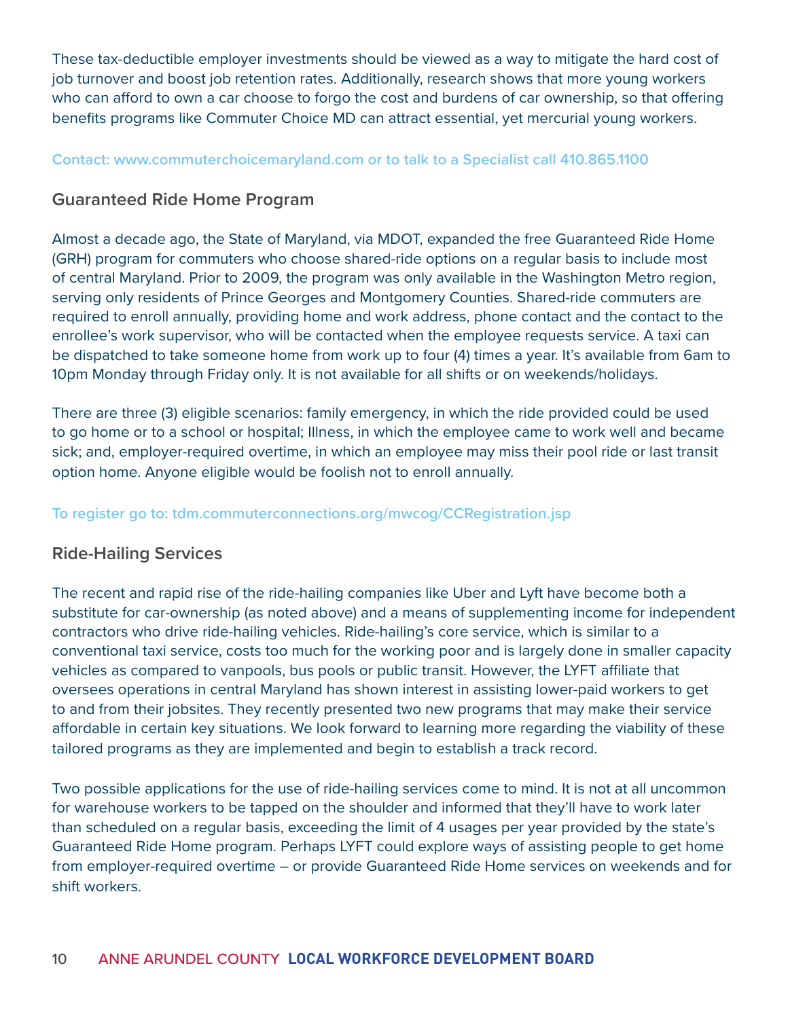These tax-deductible employer investments should be viewed as a way to mitigate the hard cost of job turnover and boost job retention rates. Additionally, research shows that more young workers who can afford to own a car choose to forgo the cost and burdens of car ownership, so that offering benefits programs like Commuter Choice MD can attract essential, yet mercurial young workers.

#### **Contact: www.commuterchoicemaryland.com or to talk to a Specialist call 410.865.1100**

#### **Guaranteed Ride Home Program**

Almost a decade ago, the State of Maryland, via MDOT, expanded the free Guaranteed Ride Home (GRH) program for commuters who choose shared-ride options on a regular basis to include most of central Maryland. Prior to 2009, the program was only available in the Washington Metro region, serving only residents of Prince Georges and Montgomery Counties. Shared-ride commuters are required to enroll annually, providing home and work address, phone contact and the contact to the enrollee's work supervisor, who will be contacted when the employee requests service. A taxi can be dispatched to take someone home from work up to four (4) times a year. It's available from 6am to 10pm Monday through Friday only. It is not available for all shifts or on weekends/holidays.

There are three (3) eligible scenarios: family emergency, in which the ride provided could be used to go home or to a school or hospital; Illness, in which the employee came to work well and became sick; and, employer-required overtime, in which an employee may miss their pool ride or last transit option home. Anyone eligible would be foolish not to enroll annually.

#### **To register go to: tdm.commuterconnections.org/mwcog/CCRegistration.jsp**

#### **Ride-Hailing Services**

The recent and rapid rise of the ride-hailing companies like Uber and Lyft have become both a substitute for car-ownership (as noted above) and a means of supplementing income for independent contractors who drive ride-hailing vehicles. Ride-hailing's core service, which is similar to a conventional taxi service, costs too much for the working poor and is largely done in smaller capacity vehicles as compared to vanpools, bus pools or public transit. However, the LYFT affiliate that oversees operations in central Maryland has shown interest in assisting lower-paid workers to get to and from their jobsites. They recently presented two new programs that may make their service affordable in certain key situations. We look forward to learning more regarding the viability of these tailored programs as they are implemented and begin to establish a track record.

Two possible applications for the use of ride-hailing services come to mind. It is not at all uncommon for warehouse workers to be tapped on the shoulder and informed that they'll have to work later than scheduled on a regular basis, exceeding the limit of 4 usages per year provided by the state's Guaranteed Ride Home program. Perhaps LYFT could explore ways of assisting people to get home from employer-required overtime – or provide Guaranteed Ride Home services on weekends and for shift workers.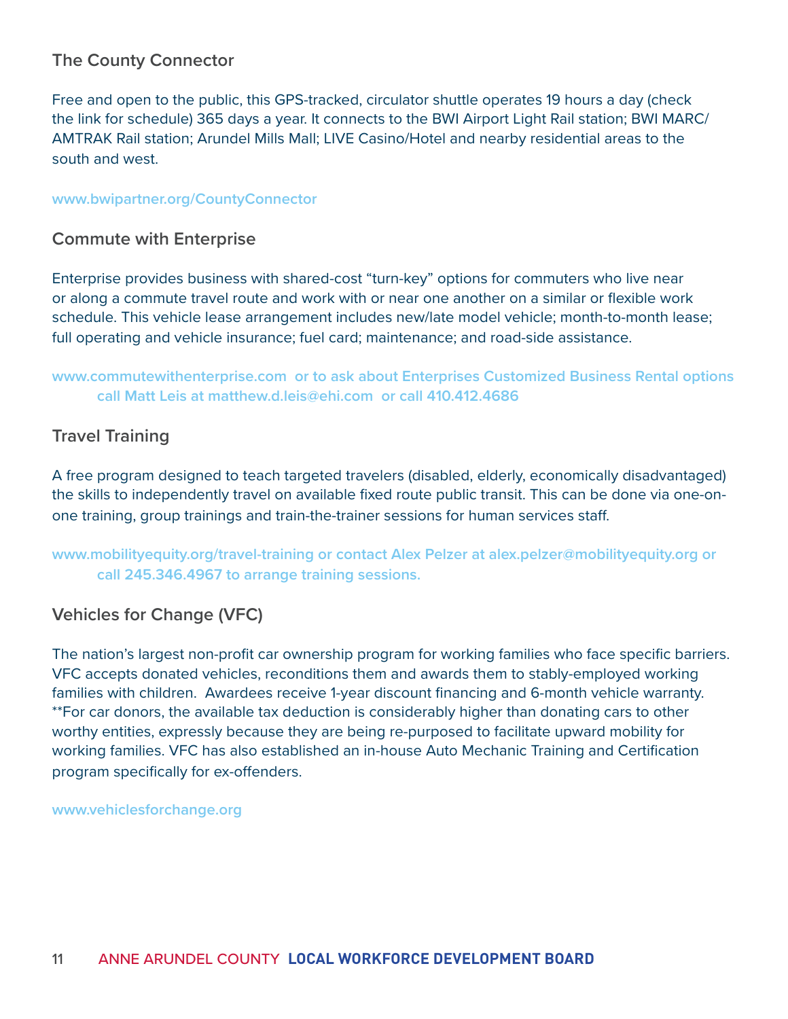#### **The County Connector**

Free and open to the public, this GPS-tracked, circulator shuttle operates 19 hours a day (check the link for schedule) 365 days a year. It connects to the BWI Airport Light Rail station; BWI MARC/ AMTRAK Rail station; Arundel Mills Mall; LIVE Casino/Hotel and nearby residential areas to the south and west.

#### **www.bwipartner.org/CountyConnector**

#### **Commute with Enterprise**

Enterprise provides business with shared-cost "turn-key" options for commuters who live near or along a commute travel route and work with or near one another on a similar or flexible work schedule. This vehicle lease arrangement includes new/late model vehicle; month-to-month lease; full operating and vehicle insurance; fuel card; maintenance; and road-side assistance.

#### **www.commutewithenterprise.com or to ask about Enterprises Customized Business Rental options call Matt Leis at matthew.d.leis@ehi.com or call 410.412.4686**

#### **Travel Training**

A free program designed to teach targeted travelers (disabled, elderly, economically disadvantaged) the skills to independently travel on available fixed route public transit. This can be done via one-onone training, group trainings and train-the-trainer sessions for human services staff.

**www.mobilityequity.org/travel-training or contact Alex Pelzer at alex.pelzer@mobilityequity.org or call 245.346.4967 to arrange training sessions.** 

#### **Vehicles for Change (VFC)**

The nation's largest non-profit car ownership program for working families who face specific barriers. VFC accepts donated vehicles, reconditions them and awards them to stably-employed working families with children. Awardees receive 1-year discount financing and 6-month vehicle warranty. \*\*For car donors, the available tax deduction is considerably higher than donating cars to other worthy entities, expressly because they are being re-purposed to facilitate upward mobility for working families. VFC has also established an in-house Auto Mechanic Training and Certification program specifically for ex-offenders.

**www.vehiclesforchange.org**